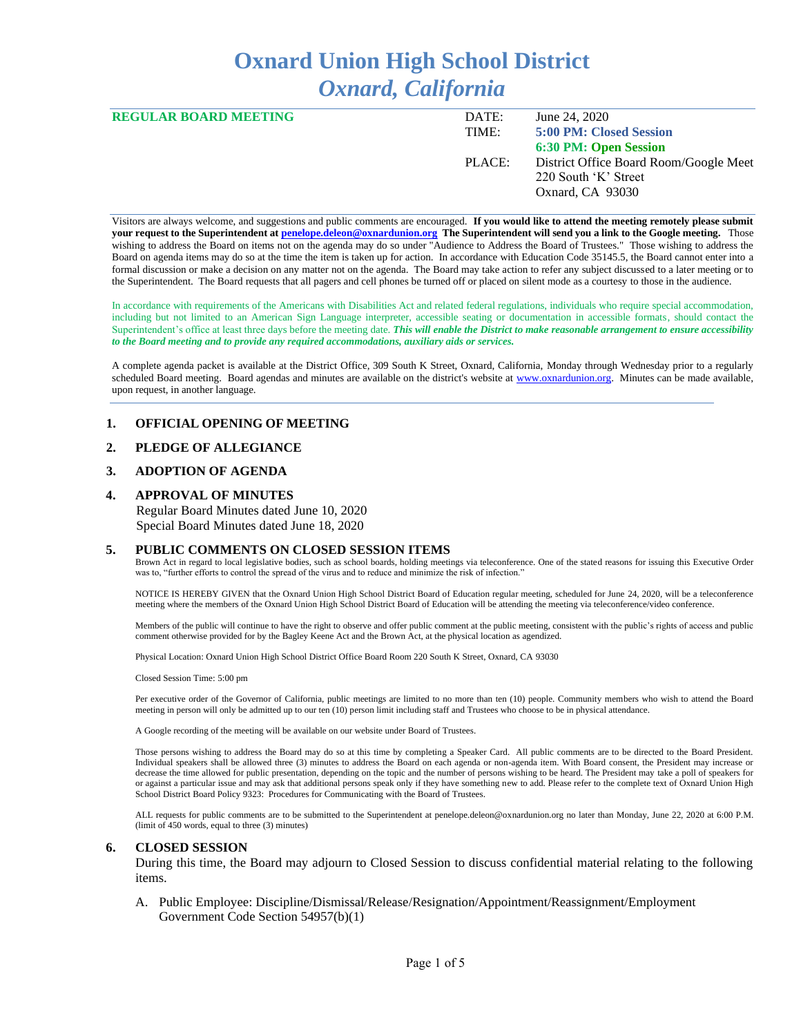# **Oxnard Union High School District** *Oxnard, California*

| <b>REGULAR BOARD MEETING</b> | DATE:  | June 24, 2020                          |
|------------------------------|--------|----------------------------------------|
|                              | TIME:  | 5:00 PM: Closed Session                |
|                              |        | 6:30 PM: Open Session                  |
|                              | PLACE: | District Office Board Room/Google Meet |
|                              |        | 220 South 'K' Street                   |
|                              |        | Oxnard, CA 93030                       |

Visitors are always welcome, and suggestions and public comments are encouraged. **If you would like to attend the meeting remotely please submit your request to the Superintendent at [penelope.deleon@oxnardunion.org](mailto:penelope.deleon@oxnardunion.org) The Superintendent will send you a link to the Google meeting.** Those wishing to address the Board on items not on the agenda may do so under "Audience to Address the Board of Trustees." Those wishing to address the Board on agenda items may do so at the time the item is taken up for action. In accordance with Education Code 35145.5, the Board cannot enter into a formal discussion or make a decision on any matter not on the agenda. The Board may take action to refer any subject discussed to a later meeting or to the Superintendent. The Board requests that all pagers and cell phones be turned off or placed on silent mode as a courtesy to those in the audience.

In accordance with requirements of the Americans with Disabilities Act and related federal regulations, individuals who require special accommodation, including but not limited to an American Sign Language interpreter, accessible seating or documentation in accessible formats, should contact the Superintendent's office at least three days before the meeting date. *This will enable the District to make reasonable arrangement to ensure accessibility to the Board meeting and to provide any required accommodations, auxiliary aids or services.*

A complete agenda packet is available at the District Office, 309 South K Street, Oxnard, California, Monday through Wednesday prior to a regularly scheduled Board meeting. Board agendas and minutes are available on the district's website at [www.ox](http://www.o/)nardunion.org. Minutes can be made available, upon request, in another language.

## **1. OFFICIAL OPENING OF MEETING**

#### **2. PLEDGE OF ALLEGIANCE**

# **3. ADOPTION OF AGENDA**

# **4. APPROVAL OF MINUTES**

Regular Board Minutes dated June 10, 2020 Special Board Minutes dated June 18, 2020

#### **5. PUBLIC COMMENTS ON CLOSED SESSION ITEMS**

Brown Act in regard to local legislative bodies, such as school boards, holding meetings via teleconference. One of the stated reasons for issuing this Executive Order was to, "further efforts to control the spread of the virus and to reduce and minimize the risk of infection."

NOTICE IS HEREBY GIVEN that the Oxnard Union High School District Board of Education regular meeting, scheduled for June 24, 2020, will be a teleconference meeting where the members of the Oxnard Union High School District Board of Education will be attending the meeting via teleconference/video conference.

Members of the public will continue to have the right to observe and offer public comment at the public meeting, consistent with the public's rights of access and public comment otherwise provided for by the Bagley Keene Act and the Brown Act, at the physical location as agendized.

Physical Location: Oxnard Union High School District Office Board Room 220 South K Street, Oxnard, CA 93030

Closed Session Time: 5:00 pm

Per executive order of the Governor of California, public meetings are limited to no more than ten (10) people. Community members who wish to attend the Board meeting in person will only be admitted up to our ten (10) person limit including staff and Trustees who choose to be in physical attendance.

A Google recording of the meeting will be available on our website under Board of Trustees.

Those persons wishing to address the Board may do so at this time by completing a Speaker Card. All public comments are to be directed to the Board President. Individual speakers shall be allowed three (3) minutes to address the Board on each agenda or non-agenda item. With Board consent, the President may increase or decrease the time allowed for public presentation, depending on the topic and the number of persons wishing to be heard. The President may take a poll of speakers for or against a particular issue and may ask that additional persons speak only if they have something new to add. Please refer to the complete text of Oxnard Union High School District Board Policy 9323: Procedures for Communicating with the Board of Trustees.

ALL requests for public comments are to be submitted to the Superintendent at penelope.deleon@oxnardunion.org no later than Monday, June 22, 2020 at 6:00 P.M. (limit of 450 words, equal to three (3) minutes)

#### **6. CLOSED SESSION**

During this time, the Board may adjourn to Closed Session to discuss confidential material relating to the following items.

A. Public Employee: Discipline/Dismissal/Release/Resignation/Appointment/Reassignment/Employment Government Code Section 54957(b)(1)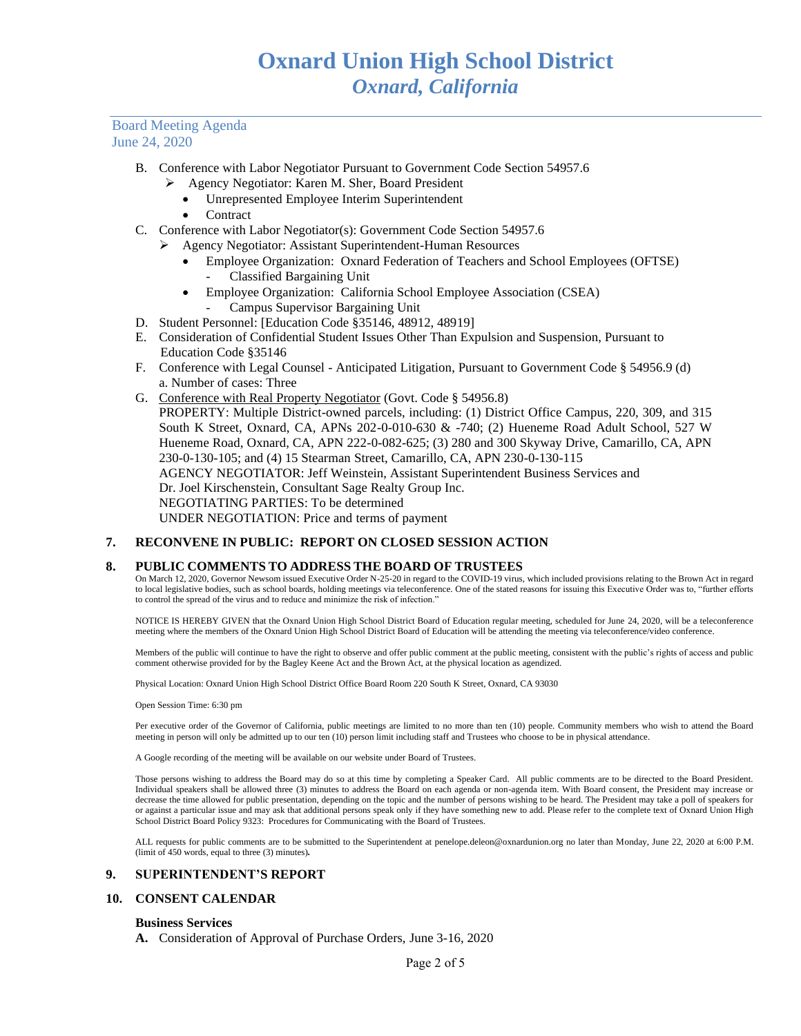- B. Conference with Labor Negotiator Pursuant to Government Code Section 54957.6
	- ➢ Agency Negotiator: Karen M. Sher, Board President
		- Unrepresented Employee Interim Superintendent
		- **Contract**
- C. Conference with Labor Negotiator(s): Government Code Section 54957.6
	- ➢ Agency Negotiator: Assistant Superintendent-Human Resources
		- Employee Organization: Oxnard Federation of Teachers and School Employees (OFTSE) - Classified Bargaining Unit
		- Employee Organization: California School Employee Association (CSEA)
			- Campus Supervisor Bargaining Unit
- D. Student Personnel: [Education Code §35146, 48912, 48919]
- E. Consideration of Confidential Student Issues Other Than Expulsion and Suspension, Pursuant to Education Code §35146
- F. Conference with Legal Counsel Anticipated Litigation, Pursuant to Government Code § 54956.9 (d) a. Number of cases: Three
- G. Conference with Real Property Negotiator (Govt. Code § 54956.8) PROPERTY: Multiple District-owned parcels, including: (1) District Office Campus, 220, 309, and 315 South K Street, Oxnard, CA, APNs 202-0-010-630 & -740; (2) Hueneme Road Adult School, 527 W Hueneme Road, Oxnard, CA, APN 222-0-082-625; (3) 280 and 300 Skyway Drive, Camarillo, CA, APN 230-0-130-105; and (4) 15 Stearman Street, Camarillo, CA, APN 230-0-130-115 AGENCY NEGOTIATOR: Jeff Weinstein, Assistant Superintendent Business Services and Dr. Joel Kirschenstein, Consultant Sage Realty Group Inc. NEGOTIATING PARTIES: To be determined UNDER NEGOTIATION: Price and terms of payment

#### **7. RECONVENE IN PUBLIC: REPORT ON CLOSED SESSION ACTION**

#### **8. PUBLIC COMMENTS TO ADDRESS THE BOARD OF TRUSTEES**

On March 12, 2020, Governor Newsom issued Executive Order N-25-20 in regard to the COVID-19 virus, which included provisions relating to the Brown Act in regard to local legislative bodies, such as school boards, holding meetings via teleconference. One of the stated reasons for issuing this Executive Order was to, "further efforts to control the spread of the virus and to reduce and minimize the risk of infection."

NOTICE IS HEREBY GIVEN that the Oxnard Union High School District Board of Education regular meeting, scheduled for June 24, 2020, will be a teleconference meeting where the members of the Oxnard Union High School District Board of Education will be attending the meeting via teleconference/video conference.

Members of the public will continue to have the right to observe and offer public comment at the public meeting, consistent with the public's rights of access and public comment otherwise provided for by the Bagley Keene Act and the Brown Act, at the physical location as agendized.

Physical Location: Oxnard Union High School District Office Board Room 220 South K Street, Oxnard, CA 93030

Open Session Time: 6:30 pm

Per executive order of the Governor of California, public meetings are limited to no more than ten (10) people. Community members who wish to attend the Board meeting in person will only be admitted up to our ten (10) person limit including staff and Trustees who choose to be in physical attendance.

A Google recording of the meeting will be available on our website under Board of Trustees.

Those persons wishing to address the Board may do so at this time by completing a Speaker Card. All public comments are to be directed to the Board President. Individual speakers shall be allowed three (3) minutes to address the Board on each agenda or non-agenda item. With Board consent, the President may increase or decrease the time allowed for public presentation, depending on the topic and the number of persons wishing to be heard. The President may take a poll of speakers for or against a particular issue and may ask that additional persons speak only if they have something new to add. Please refer to the complete text of Oxnard Union High School District Board Policy 9323: Procedures for Communicating with the Board of Trustees.

ALL requests for public comments are to be submitted to the Superintendent at penelope.deleon@oxnardunion.org no later than Monday, June 22, 2020 at 6:00 P.M. (limit of 450 words, equal to three (3) minutes)*.*

#### **9. SUPERINTENDENT'S REPORT**

# **10. CONSENT CALENDAR**

#### **Business Services**

**A.** Consideration of Approval of Purchase Orders, June 3-16, 2020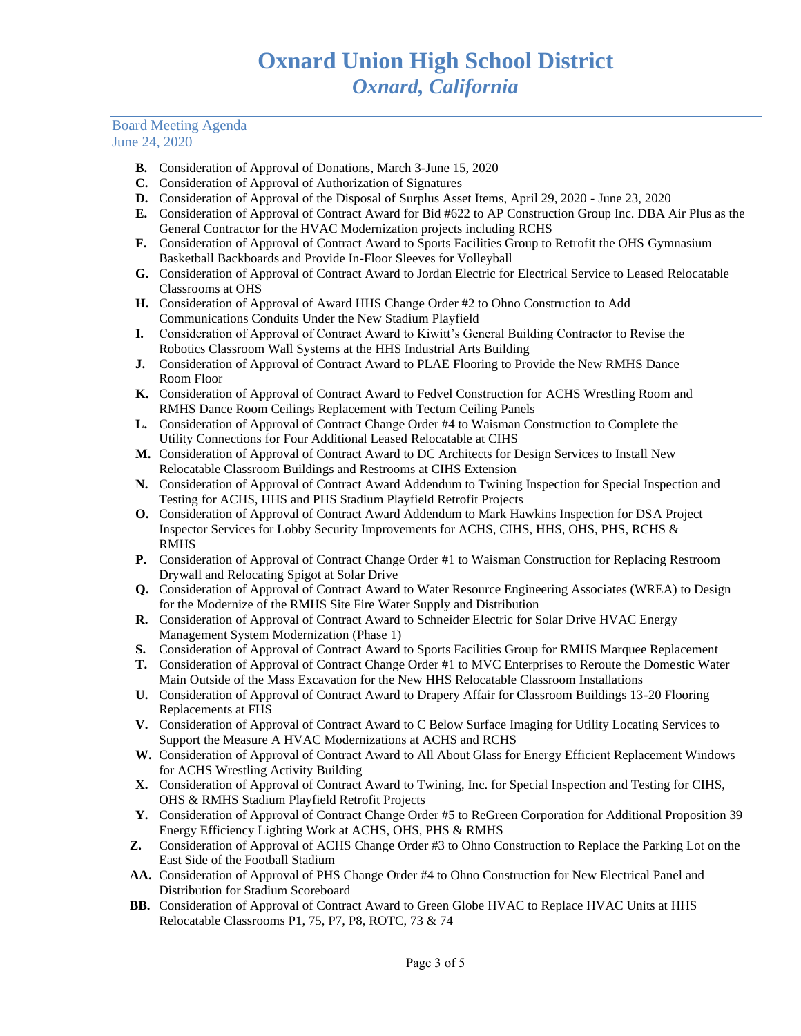- **B.** Consideration of Approval of Donations, March 3-June 15, 2020
- **C.** Consideration of Approval of Authorization of Signatures
- **D.** Consideration of Approval of the Disposal of Surplus Asset Items, April 29, 2020 June 23, 2020
- **E.** Consideration of Approval of Contract Award for Bid #622 to AP Construction Group Inc. DBA Air Plus as the General Contractor for the HVAC Modernization projects including RCHS
- **F.** Consideration of Approval of Contract Award to Sports Facilities Group to Retrofit the OHS Gymnasium Basketball Backboards and Provide In-Floor Sleeves for Volleyball
- **G.** Consideration of Approval of Contract Award to Jordan Electric for Electrical Service to Leased Relocatable Classrooms at OHS
- **H.** Consideration of Approval of Award HHS Change Order #2 to Ohno Construction to Add Communications Conduits Under the New Stadium Playfield
- **I.** Consideration of Approval of Contract Award to Kiwitt's General Building Contractor to Revise the Robotics Classroom Wall Systems at the HHS Industrial Arts Building
- **J.** Consideration of Approval of Contract Award to PLAE Flooring to Provide the New RMHS Dance Room Floor
- **K.** Consideration of Approval of Contract Award to Fedvel Construction for ACHS Wrestling Room and RMHS Dance Room Ceilings Replacement with Tectum Ceiling Panels
- **L.** Consideration of Approval of Contract Change Order #4 to Waisman Construction to Complete the Utility Connections for Four Additional Leased Relocatable at CIHS
- **M.** Consideration of Approval of Contract Award to DC Architects for Design Services to Install New Relocatable Classroom Buildings and Restrooms at CIHS Extension
- **N.** Consideration of Approval of Contract Award Addendum to Twining Inspection for Special Inspection and Testing for ACHS, HHS and PHS Stadium Playfield Retrofit Projects
- **O.** Consideration of Approval of Contract Award Addendum to Mark Hawkins Inspection for DSA Project Inspector Services for Lobby Security Improvements for ACHS, CIHS, HHS, OHS, PHS, RCHS & RMHS
- **P.** Consideration of Approval of Contract Change Order #1 to Waisman Construction for Replacing Restroom Drywall and Relocating Spigot at Solar Drive
- **Q.** Consideration of Approval of Contract Award to Water Resource Engineering Associates (WREA) to Design for the Modernize of the RMHS Site Fire Water Supply and Distribution
- **R.** Consideration of Approval of Contract Award to Schneider Electric for Solar Drive HVAC Energy Management System Modernization (Phase 1)
- **S.** Consideration of Approval of Contract Award to Sports Facilities Group for RMHS Marquee Replacement
- **T.** Consideration of Approval of Contract Change Order #1 to MVC Enterprises to Reroute the Domestic Water Main Outside of the Mass Excavation for the New HHS Relocatable Classroom Installations
- **U.** Consideration of Approval of Contract Award to Drapery Affair for Classroom Buildings 13-20 Flooring Replacements at FHS
- **V.** Consideration of Approval of Contract Award to C Below Surface Imaging for Utility Locating Services to Support the Measure A HVAC Modernizations at ACHS and RCHS
- **W.** Consideration of Approval of Contract Award to All About Glass for Energy Efficient Replacement Windows for ACHS Wrestling Activity Building
- **X.** Consideration of Approval of Contract Award to Twining, Inc. for Special Inspection and Testing for CIHS, OHS & RMHS Stadium Playfield Retrofit Projects
- **Y.** Consideration of Approval of Contract Change Order #5 to ReGreen Corporation for Additional Proposition 39 Energy Efficiency Lighting Work at ACHS, OHS, PHS & RMHS
- **Z.** Consideration of Approval of ACHS Change Order #3 to Ohno Construction to Replace the Parking Lot on the East Side of the Football Stadium
- **AA.** Consideration of Approval of PHS Change Order #4 to Ohno Construction for New Electrical Panel and Distribution for Stadium Scoreboard
- **BB.** Consideration of Approval of Contract Award to Green Globe HVAC to Replace HVAC Units at HHS Relocatable Classrooms P1, 75, P7, P8, ROTC, 73 & 74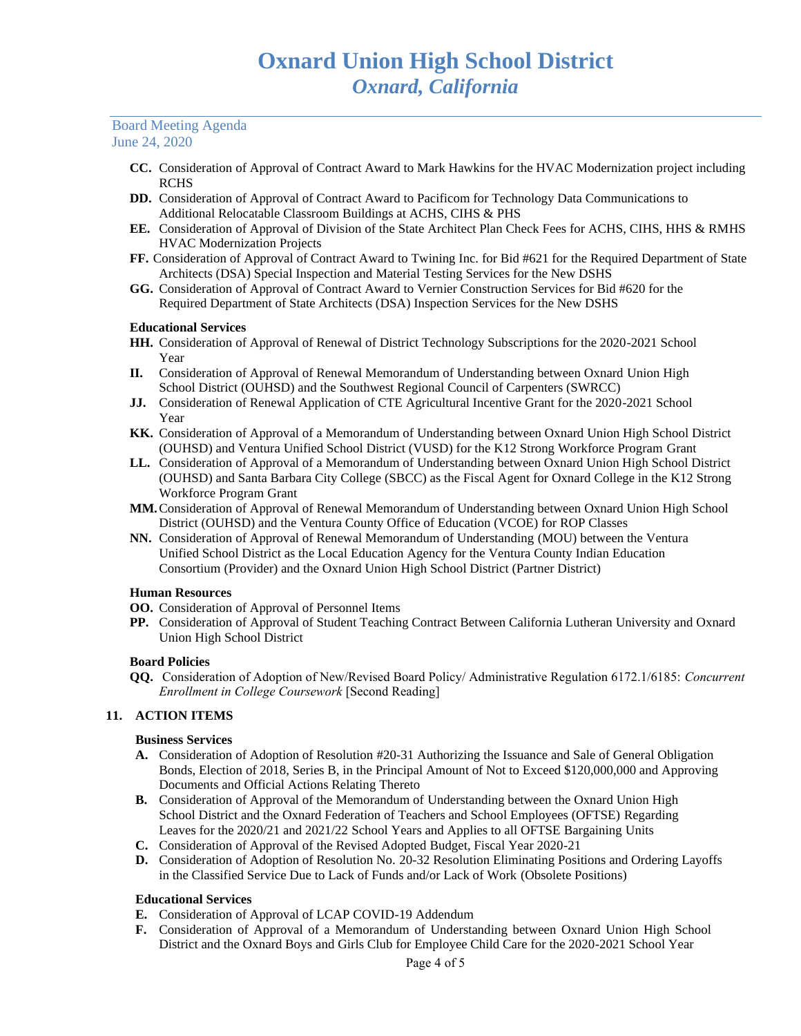- **CC.** Consideration of Approval of Contract Award to Mark Hawkins for the HVAC Modernization project including RCHS
- **DD.** Consideration of Approval of Contract Award to Pacificom for Technology Data Communications to Additional Relocatable Classroom Buildings at ACHS, CIHS & PHS
- **EE.** Consideration of Approval of Division of the State Architect Plan Check Fees for ACHS, CIHS, HHS & RMHS HVAC Modernization Projects
- **FF.** Consideration of Approval of Contract Award to Twining Inc. for Bid #621 for the Required Department of State Architects (DSA) Special Inspection and Material Testing Services for the New DSHS
- **GG.** Consideration of Approval of Contract Award to Vernier Construction Services for Bid #620 for the Required Department of State Architects (DSA) Inspection Services for the New DSHS

# **Educational Services**

- **HH.** Consideration of Approval of Renewal of District Technology Subscriptions for the 2020-2021 School Year
- **II.** Consideration of Approval of Renewal Memorandum of Understanding between Oxnard Union High School District (OUHSD) and the Southwest Regional Council of Carpenters (SWRCC)
- **JJ.** Consideration of Renewal Application of CTE Agricultural Incentive Grant for the 2020-2021 School Year
- **KK.** Consideration of Approval of a Memorandum of Understanding between Oxnard Union High School District (OUHSD) and Ventura Unified School District (VUSD) for the K12 Strong Workforce Program Grant
- **LL.** Consideration of Approval of a Memorandum of Understanding between Oxnard Union High School District (OUHSD) and Santa Barbara City College (SBCC) as the Fiscal Agent for Oxnard College in the K12 Strong Workforce Program Grant
- **MM.**Consideration of Approval of Renewal Memorandum of Understanding between Oxnard Union High School District (OUHSD) and the Ventura County Office of Education (VCOE) for ROP Classes
- **NN.** Consideration of Approval of Renewal Memorandum of Understanding (MOU) between the Ventura Unified School District as the Local Education Agency for the Ventura County Indian Education Consortium (Provider) and the Oxnard Union High School District (Partner District)

# **Human Resources**

- **OO.** Consideration of Approval of Personnel Items
- **PP.** Consideration of Approval of Student Teaching Contract Between California Lutheran University and Oxnard Union High School District

# **Board Policies**

**QQ.** Consideration of Adoption of New/Revised Board Policy/ Administrative Regulation 6172.1/6185: *Concurrent Enrollment in College Coursework* [Second Reading]

# **11. ACTION ITEMS**

# **Business Services**

- **A.** Consideration of Adoption of Resolution #20-31 Authorizing the Issuance and Sale of General Obligation Bonds, Election of 2018, Series B, in the Principal Amount of Not to Exceed \$120,000,000 and Approving Documents and Official Actions Relating Thereto
- **B.** Consideration of Approval of the Memorandum of Understanding between the Oxnard Union High School District and the Oxnard Federation of Teachers and School Employees (OFTSE) Regarding Leaves for the 2020/21 and 2021/22 School Years and Applies to all OFTSE Bargaining Units
- **C.** Consideration of Approval of the Revised Adopted Budget, Fiscal Year 2020-21
- **D.** Consideration of Adoption of Resolution No. 20-32 Resolution Eliminating Positions and Ordering Layoffs in the Classified Service Due to Lack of Funds and/or Lack of Work (Obsolete Positions)

# **Educational Services**

- **E.** Consideration of Approval of LCAP COVID-19 Addendum
- **F.** Consideration of Approval of a Memorandum of Understanding between Oxnard Union High School District and the Oxnard Boys and Girls Club for Employee Child Care for the 2020-2021 School Year